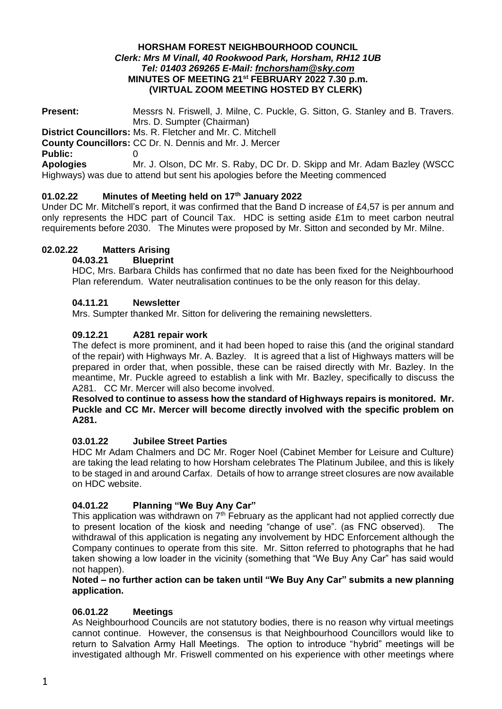#### **HORSHAM FOREST NEIGHBOURHOOD COUNCIL** *Clerk: Mrs M Vinall, 40 Rookwood Park, Horsham, RH12 1UB Tel: 01403 269265 E-Mail: [fnchorsham@sky.com](about:blank)* **MINUTES OF MEETING 21st FEBRUARY 2022 7.30 p.m. (VIRTUAL ZOOM MEETING HOSTED BY CLERK)**

**Present:** Messrs N. Friswell, J. Milne, C. Puckle, G. Sitton, G. Stanley and B. Travers. Mrs. D. Sumpter (Chairman) **District Councillors:** Ms. R. Fletcher and Mr. C. Mitchell **County Councillors:** CC Dr. N. Dennis and Mr. J. Mercer **Public:** 0 **Apologies** Mr. J. Olson, DC Mr. S. Raby, DC Dr. D. Skipp and Mr. Adam Bazley (WSCC Highways) was due to attend but sent his apologies before the Meeting commenced

# **01.02.22 Minutes of Meeting held on 17th January 2022**

Under DC Mr. Mitchell's report, it was confirmed that the Band D increase of £4,57 is per annum and only represents the HDC part of Council Tax. HDC is setting aside £1m to meet carbon neutral requirements before 2030. The Minutes were proposed by Mr. Sitton and seconded by Mr. Milne.

# **02.02.22 Matters Arising**

## **04.03.21 Blueprint**

HDC, Mrs. Barbara Childs has confirmed that no date has been fixed for the Neighbourhood Plan referendum. Water neutralisation continues to be the only reason for this delay.

## **04.11.21 Newsletter**

Mrs. Sumpter thanked Mr. Sitton for delivering the remaining newsletters.

## **09.12.21 A281 repair work**

The defect is more prominent, and it had been hoped to raise this (and the original standard of the repair) with Highways Mr. A. Bazley. It is agreed that a list of Highways matters will be prepared in order that, when possible, these can be raised directly with Mr. Bazley. In the meantime, Mr. Puckle agreed to establish a link with Mr. Bazley, specifically to discuss the A281. CC Mr. Mercer will also become involved.

#### **Resolved to continue to assess how the standard of Highways repairs is monitored. Mr. Puckle and CC Mr. Mercer will become directly involved with the specific problem on A281.**

#### **03.01.22 Jubilee Street Parties**

HDC Mr Adam Chalmers and DC Mr. Roger Noel (Cabinet Member for Leisure and Culture) are taking the lead relating to how Horsham celebrates The Platinum Jubilee, and this is likely to be staged in and around Carfax. Details of how to arrange street closures are now available on HDC website.

## **04.01.22 Planning "We Buy Any Car"**

This application was withdrawn on  $7<sup>th</sup>$  February as the applicant had not applied correctly due to present location of the kiosk and needing "change of use". (as FNC observed). The withdrawal of this application is negating any involvement by HDC Enforcement although the Company continues to operate from this site. Mr. Sitton referred to photographs that he had taken showing a low loader in the vicinity (something that "We Buy Any Car" has said would not happen).

## **Noted – no further action can be taken until "We Buy Any Car" submits a new planning application.**

## **06.01.22 Meetings**

As Neighbourhood Councils are not statutory bodies, there is no reason why virtual meetings cannot continue. However, the consensus is that Neighbourhood Councillors would like to return to Salvation Army Hall Meetings. The option to introduce "hybrid" meetings will be investigated although Mr. Friswell commented on his experience with other meetings where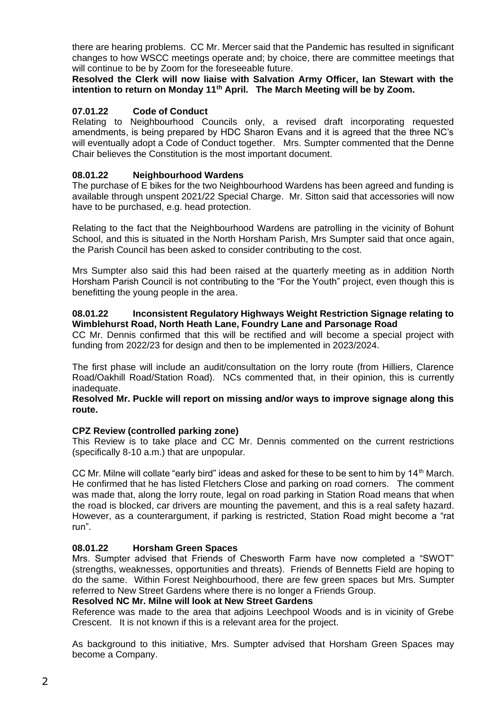there are hearing problems. CC Mr. Mercer said that the Pandemic has resulted in significant changes to how WSCC meetings operate and; by choice, there are committee meetings that will continue to be by Zoom for the foreseeable future.

**Resolved the Clerk will now liaise with Salvation Army Officer, Ian Stewart with the intention to return on Monday 11th April. The March Meeting will be by Zoom.**

# **07.01.22 Code of Conduct**

Relating to Neighbourhood Councils only, a revised draft incorporating requested amendments, is being prepared by HDC Sharon Evans and it is agreed that the three NC's will eventually adopt a Code of Conduct together. Mrs. Sumpter commented that the Denne Chair believes the Constitution is the most important document.

## **08.01.22 Neighbourhood Wardens**

The purchase of E bikes for the two Neighbourhood Wardens has been agreed and funding is available through unspent 2021/22 Special Charge. Mr. Sitton said that accessories will now have to be purchased, e.g. head protection.

Relating to the fact that the Neighbourhood Wardens are patrolling in the vicinity of Bohunt School, and this is situated in the North Horsham Parish, Mrs Sumpter said that once again, the Parish Council has been asked to consider contributing to the cost.

Mrs Sumpter also said this had been raised at the quarterly meeting as in addition North Horsham Parish Council is not contributing to the "For the Youth" project, even though this is benefitting the young people in the area.

## **08.01.22 Inconsistent Regulatory Highways Weight Restriction Signage relating to Wimblehurst Road, North Heath Lane, Foundry Lane and Parsonage Road**

CC Mr. Dennis confirmed that this will be rectified and will become a special project with funding from 2022/23 for design and then to be implemented in 2023/2024.

The first phase will include an audit/consultation on the lorry route (from Hilliers, Clarence Road/Oakhill Road/Station Road). NCs commented that, in their opinion, this is currently inadequate.

#### **Resolved Mr. Puckle will report on missing and/or ways to improve signage along this route.**

## **CPZ Review (controlled parking zone)**

This Review is to take place and CC Mr. Dennis commented on the current restrictions (specifically 8-10 a.m.) that are unpopular.

CC Mr. Milne will collate "early bird" ideas and asked for these to be sent to him by  $14<sup>th</sup>$  March. He confirmed that he has listed Fletchers Close and parking on road corners. The comment was made that, along the lorry route, legal on road parking in Station Road means that when the road is blocked, car drivers are mounting the pavement, and this is a real safety hazard. However, as a counterargument, if parking is restricted, Station Road might become a "rat run".

## **08.01.22 Horsham Green Spaces**

Mrs. Sumpter advised that Friends of Chesworth Farm have now completed a "SWOT" (strengths, weaknesses, opportunities and threats). Friends of Bennetts Field are hoping to do the same. Within Forest Neighbourhood, there are few green spaces but Mrs. Sumpter referred to New Street Gardens where there is no longer a Friends Group.

#### **Resolved NC Mr. Milne will look at New Street Gardens**

Reference was made to the area that adjoins Leechpool Woods and is in vicinity of Grebe Crescent. It is not known if this is a relevant area for the project.

As background to this initiative, Mrs. Sumpter advised that Horsham Green Spaces may become a Company.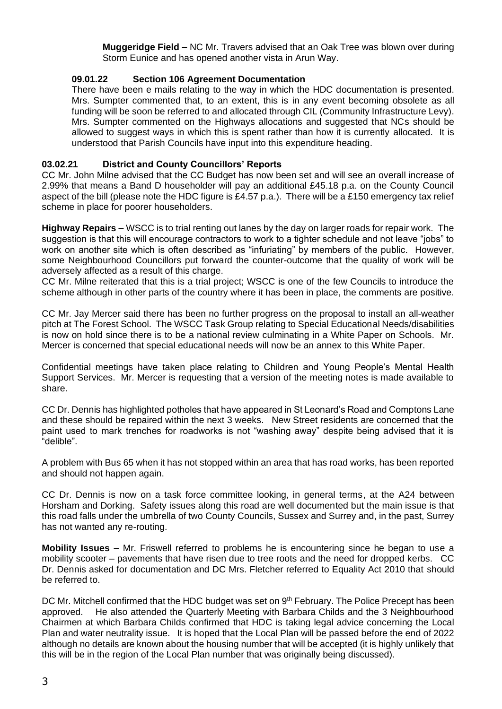**Muggeridge Field –** NC Mr. Travers advised that an Oak Tree was blown over during Storm Eunice and has opened another vista in Arun Way.

## **09.01.22 Section 106 Agreement Documentation**

There have been e mails relating to the way in which the HDC documentation is presented. Mrs. Sumpter commented that, to an extent, this is in any event becoming obsolete as all funding will be soon be referred to and allocated through CIL (Community Infrastructure Levy). Mrs. Sumpter commented on the Highways allocations and suggested that NCs should be allowed to suggest ways in which this is spent rather than how it is currently allocated. It is understood that Parish Councils have input into this expenditure heading.

# **03.02.21 District and County Councillors' Reports**

CC Mr. John Milne advised that the CC Budget has now been set and will see an overall increase of 2.99% that means a Band D householder will pay an additional £45.18 p.a. on the County Council aspect of the bill (please note the HDC figure is £4.57 p.a.). There will be a £150 emergency tax relief scheme in place for poorer householders.

**Highway Repairs –** WSCC is to trial renting out lanes by the day on larger roads for repair work. The suggestion is that this will encourage contractors to work to a tighter schedule and not leave "jobs" to work on another site which is often described as "infuriating" by members of the public. However, some Neighbourhood Councillors put forward the counter-outcome that the quality of work will be adversely affected as a result of this charge.

CC Mr. Milne reiterated that this is a trial project; WSCC is one of the few Councils to introduce the scheme although in other parts of the country where it has been in place, the comments are positive.

CC Mr. Jay Mercer said there has been no further progress on the proposal to install an all-weather pitch at The Forest School. The WSCC Task Group relating to Special Educational Needs/disabilities is now on hold since there is to be a national review culminating in a White Paper on Schools. Mr. Mercer is concerned that special educational needs will now be an annex to this White Paper.

Confidential meetings have taken place relating to Children and Young People's Mental Health Support Services. Mr. Mercer is requesting that a version of the meeting notes is made available to share.

CC Dr. Dennis has highlighted potholes that have appeared in St Leonard's Road and Comptons Lane and these should be repaired within the next 3 weeks. New Street residents are concerned that the paint used to mark trenches for roadworks is not "washing away" despite being advised that it is "delible".

A problem with Bus 65 when it has not stopped within an area that has road works, has been reported and should not happen again.

CC Dr. Dennis is now on a task force committee looking, in general terms, at the A24 between Horsham and Dorking. Safety issues along this road are well documented but the main issue is that this road falls under the umbrella of two County Councils, Sussex and Surrey and, in the past, Surrey has not wanted any re-routing.

**Mobility Issues –** Mr. Friswell referred to problems he is encountering since he began to use a mobility scooter – pavements that have risen due to tree roots and the need for dropped kerbs. CC Dr. Dennis asked for documentation and DC Mrs. Fletcher referred to Equality Act 2010 that should be referred to.

DC Mr. Mitchell confirmed that the HDC budget was set on 9<sup>th</sup> February. The Police Precept has been approved. He also attended the Quarterly Meeting with Barbara Childs and the 3 Neighbourhood Chairmen at which Barbara Childs confirmed that HDC is taking legal advice concerning the Local Plan and water neutrality issue. It is hoped that the Local Plan will be passed before the end of 2022 although no details are known about the housing number that will be accepted (it is highly unlikely that this will be in the region of the Local Plan number that was originally being discussed).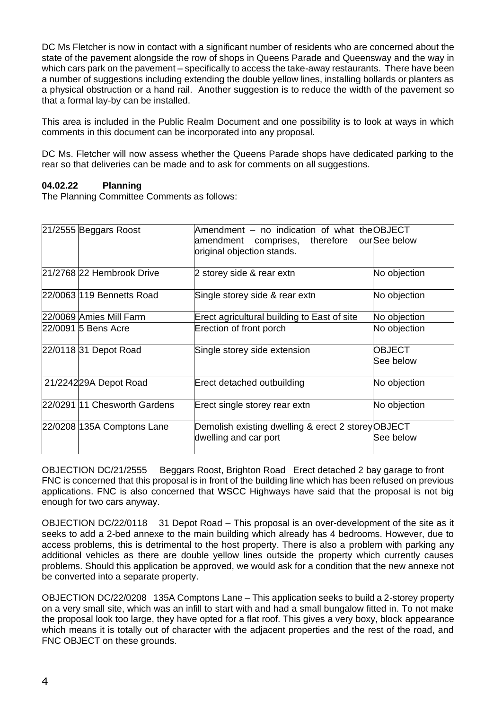DC Ms Fletcher is now in contact with a significant number of residents who are concerned about the state of the pavement alongside the row of shops in Queens Parade and Queensway and the way in which cars park on the pavement – specifically to access the take-away restaurants. There have been a number of suggestions including extending the double yellow lines, installing bollards or planters as a physical obstruction or a hand rail. Another suggestion is to reduce the width of the pavement so that a formal lay-by can be installed.

This area is included in the Public Realm Document and one possibility is to look at ways in which comments in this document can be incorporated into any proposal.

DC Ms. Fletcher will now assess whether the Queens Parade shops have dedicated parking to the rear so that deliveries can be made and to ask for comments on all suggestions.

# **04.02.22 Planning**

The Planning Committee Comments as follows:

| 21/2555 Beggars Roost        | Amendment - no indication of what theOBJECT<br>amendment comprises, therefore ourSeebelow<br>original objection stands. |                            |
|------------------------------|-------------------------------------------------------------------------------------------------------------------------|----------------------------|
| 21/2768 22 Hernbrook Drive   | 2 storey side & rear extn                                                                                               | No objection               |
| 22/0063 119 Bennetts Road    | Single storey side & rear extn                                                                                          | No objection               |
| 22/0069 Amies Mill Farm      | Erect agricultural building to East of site                                                                             | No objection               |
| 22/0091 5 Bens Acre          | Erection of front porch                                                                                                 | No objection               |
| 22/0118 31 Depot Road        | Single storey side extension                                                                                            | <b>OBJECT</b><br>See below |
| 21/224229A Depot Road        | Erect detached outbuilding                                                                                              | No objection               |
| 22/0291 11 Chesworth Gardens | Erect single storey rear extn                                                                                           | No objection               |
| 22/0208 135A Comptons Lane   | Demolish existing dwelling & erect 2 storeyOBJECT<br>dwelling and car port                                              | See below                  |

OBJECTION DC/21/2555 Beggars Roost, Brighton Road Erect detached 2 bay garage to front FNC is concerned that this proposal is in front of the building line which has been refused on previous applications. FNC is also concerned that WSCC Highways have said that the proposal is not big enough for two cars anyway.

OBJECTION DC/22/0118 31 Depot Road – This proposal is an over-development of the site as it seeks to add a 2-bed annexe to the main building which already has 4 bedrooms. However, due to access problems, this is detrimental to the host property. There is also a problem with parking any additional vehicles as there are double yellow lines outside the property which currently causes problems. Should this application be approved, we would ask for a condition that the new annexe not be converted into a separate property.

OBJECTION DC/22/0208 135A Comptons Lane – This application seeks to build a 2-storey property on a very small site, which was an infill to start with and had a small bungalow fitted in. To not make the proposal look too large, they have opted for a flat roof. This gives a very boxy, block appearance which means it is totally out of character with the adjacent properties and the rest of the road, and FNC OBJECT on these grounds.